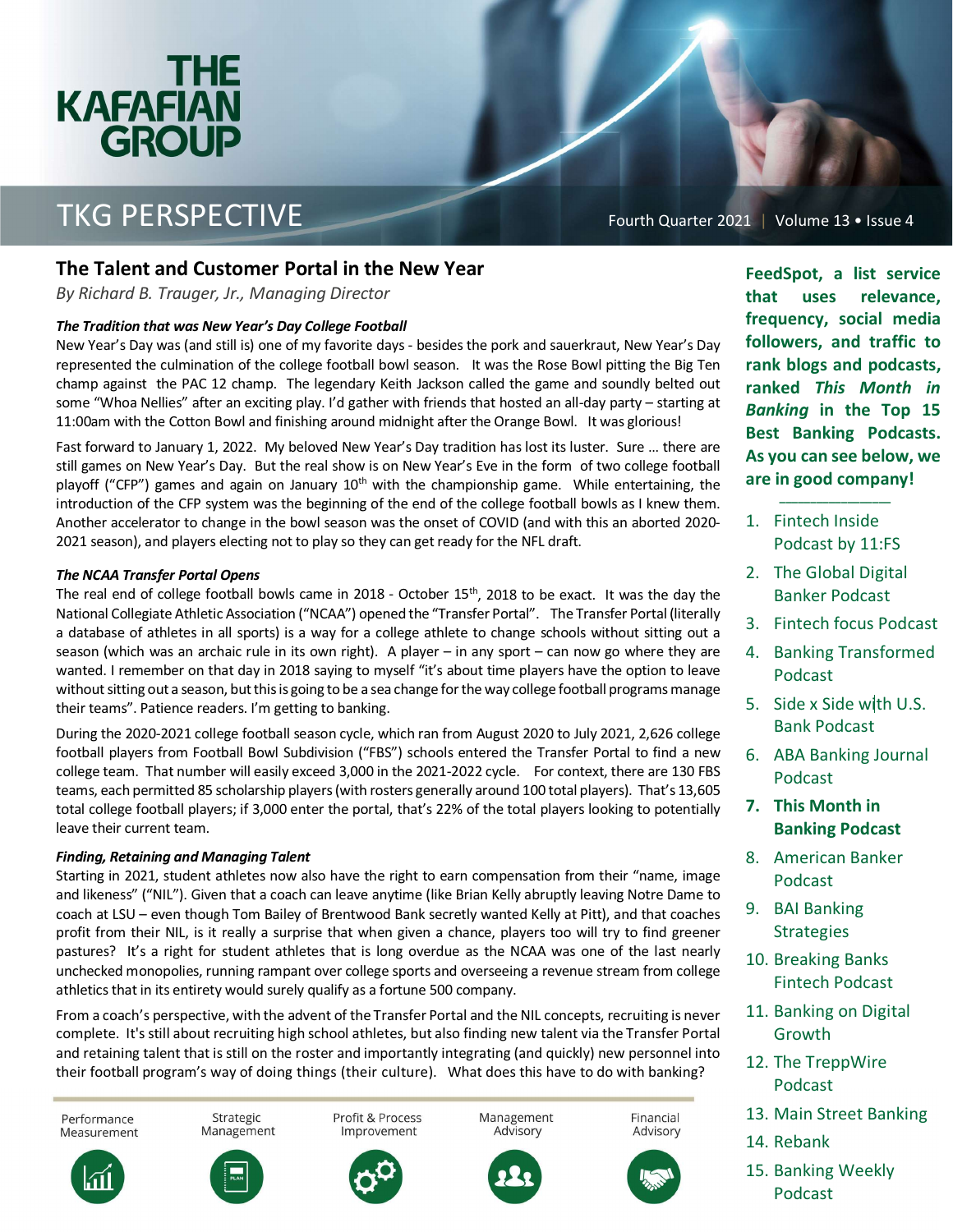### <u>THE</u> **KAFAFIAN GROUP** <u>e de la propincia de la propincia de la propincia de la propincia de la propincia de la propincia de la propi</u>

## TKG PERSPECTIVE

Fourth Quarter 2021 | Volume 13 • Issue 4

### **The Talent and Customer Portal in the New Year**

*By Richard B. Trauger, Jr., Managing Director* 

#### *The Tradition that was New Year's Day College Football*

New Year's Day was (and still is) one of my favorite days - besides the pork and sauerkraut, New Year's Day represented the culmination of the college football bowl season. It was the Rose Bowl pitting the Big Ten champ against the PAC 12 champ. The legendary Keith Jackson called the game and soundly belted out some "Whoa Nellies" after an exciting play. I'd gather with friends that hosted an all-day party – starting at 11:00am with the Cotton Bowl and finishing around midnight after the Orange Bowl. It was glorious!

Fast forward to January 1, 2022. My beloved New Year's Day tradition has lost its luster. Sure … there are still games on New Year's Day. But the real show is on New Year's Eve in the form of two college football playoff ("CFP") games and again on January  $10<sup>th</sup>$  with the championship game. While entertaining, the introduction of the CFP system was the beginning of the end of the college football bowls as I knew them. Another accelerator to change in the bowl season was the onset of COVID (and with this an aborted 2020 2021 season), and players electing not to play so they can get ready for the NFL draft.

#### *The NCAA Transfer Portal Opens*

The real end of college football bowls came in 2018 - October  $15<sup>th</sup>$ , 2018 to be exact. It was the day the National Collegiate Athletic Association ("NCAA") opened the "Transfer Portal". The Transfer Portal (literally a database of athletes in all sports) is a way for a college athlete to change schools without sitting out a season (which was an archaic rule in its own right). A player – in any sport – can now go where they are wanted. I remember on that day in 2018 saying to myself "it's about time players have the option to leave without sitting out a season, but this is going to be a sea change for the way college football programs manage their teams". Patience readers. I'm getting to banking.

During the 2020-2021 college football season cycle, which ran from August 2020 to July 2021, 2,626 college football players from Football Bowl Subdivision ("FBS") schools entered the Transfer Portal to find a new college team. That number will easily exceed 3,000 in the 2021-2022 cycle. For context, there are 130 FBS teams, each permitted 85 scholarship players (with rosters generally around 100 total players). That's 13,605 total college football players; if 3,000 enter the portal, that's 22% of the total players looking to potentially leave their current team.

#### *Finding, Retaining and Managing Talent*

Starting in 2021, student athletes now also have the right to earn compensation from their "name, image and likeness" ("NIL"). Given that a coach can leave anytime (like Brian Kelly abruptly leaving Notre Dame to coach at LSU – even though Tom Bailey of Brentwood Bank secretly wanted Kelly at Pitt), and that coaches profit from their NIL, is it really a surprise that when given a chance, players too will try to find greener pastures? It's a right for student athletes that is long overdue as the NCAA was one of the last nearly unchecked monopolies, running rampant over college sports and overseeing a revenue stream from college athletics that in its entirety would surely qualify as a fortune 500 company.

From a coach's perspective, with the advent of the Transfer Portal and the NIL concepts, recruiting is never complete. It's still about recruiting high school athletes, but also finding new talent via the Transfer Portal and retaining talent that is still on the roster and importantly integrating (and quickly) new personnel into their football program's way of doing things (their culture). What does this have to do with banking?



**FeedSpot, a list service that uses relevance, frequency, social media followers, and traffic to rank blogs and podcasts, ranked**  *This Month in Banking* **in the Top 15 Best Banking Podcasts. As you can see below, we are in good company!** 

1. Fintech Inside Podcast by 11:FS

 **\_\_\_\_\_\_\_\_\_\_\_\_\_\_\_\_\_\_** 

- 2. The Global Digital Banker Podcast
- 3. Fintech focus Podcast
- 4. Banking Transformed Podcast
- 5. Side x Side with U.S. Bank Podcast
- 6. ABA Banking Journal Podcast
- **7. This Month in Banking Podcast**
- 8. American Banker Podcast
- 9. BAI Banking Strategies
- 10. Breaking Banks Fintech Podcast
- 11. Banking on Digital Growth
- 12. The TreppWire Podcast
- 13. Main Street Banking
- 14. Rebank
- 15. Banking Weekly Podcast